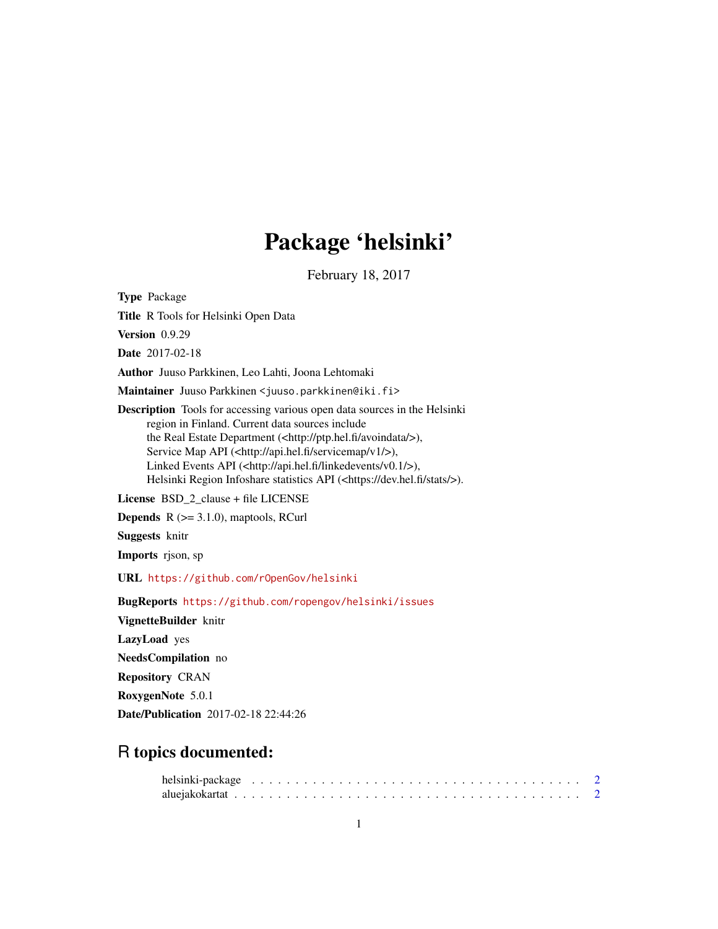# Package 'helsinki'

February 18, 2017

Type Package

Title R Tools for Helsinki Open Data

Version 0.9.29

Date 2017-02-18

Author Juuso Parkkinen, Leo Lahti, Joona Lehtomaki

Maintainer Juuso Parkkinen <juuso.parkkinen@iki.fi>

Description Tools for accessing various open data sources in the Helsinki region in Finland. Current data sources include the Real Estate Department (<http://ptp.hel.fi/avoindata/>), Service Map API (<http://api.hel.fi/servicemap/v1/>), Linked Events API (<http://api.hel.fi/linkedevents/v0.1/>), Helsinki Region Infoshare statistics API (<https://dev.hel.fi/stats/>).

License BSD 2 clause + file LICENSE

**Depends**  $R$  ( $>= 3.1.0$ ), maptools, RCurl

Suggests knitr

Imports rjson, sp

URL <https://github.com/rOpenGov/helsinki>

BugReports <https://github.com/ropengov/helsinki/issues>

VignetteBuilder knitr

LazyLoad yes

NeedsCompilation no

Repository CRAN

RoxygenNote 5.0.1

Date/Publication 2017-02-18 22:44:26

# R topics documented: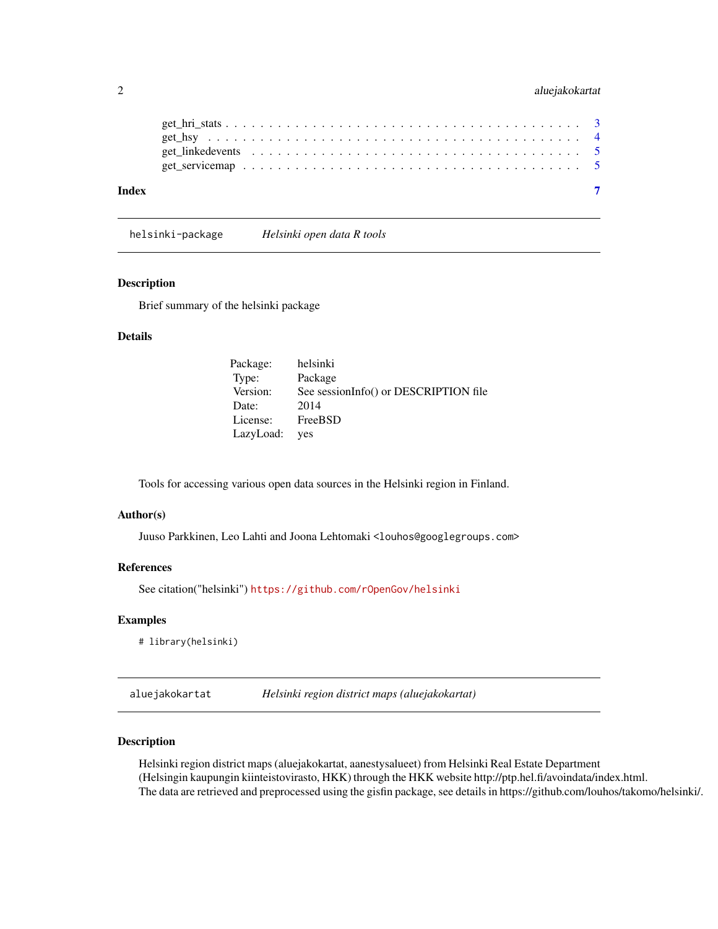# <span id="page-1-0"></span>2 aluejakokartat

| Index |  |  |  |  |  |  |  |  |  |  |  |  |  |  |  |  |
|-------|--|--|--|--|--|--|--|--|--|--|--|--|--|--|--|--|

helsinki-package *Helsinki open data R tools*

# Description

Brief summary of the helsinki package

# Details

| Package:  | helsinki                              |
|-----------|---------------------------------------|
| Type:     | Package                               |
| Version:  | See sessionInfo() or DESCRIPTION file |
| Date:     | 2014                                  |
| License:  | FreeBSD                               |
| LazyLoad: | yes                                   |

Tools for accessing various open data sources in the Helsinki region in Finland.

#### Author(s)

Juuso Parkkinen, Leo Lahti and Joona Lehtomaki <louhos@googlegroups.com>

### References

See citation("helsinki") <https://github.com/rOpenGov/helsinki>

# Examples

# library(helsinki)

aluejakokartat *Helsinki region district maps (aluejakokartat)*

# Description

Helsinki region district maps (aluejakokartat, aanestysalueet) from Helsinki Real Estate Department (Helsingin kaupungin kiinteistovirasto, HKK) through the HKK website http://ptp.hel.fi/avoindata/index.html. The data are retrieved and preprocessed using the gisfin package, see details in https://github.com/louhos/takomo/helsinki/.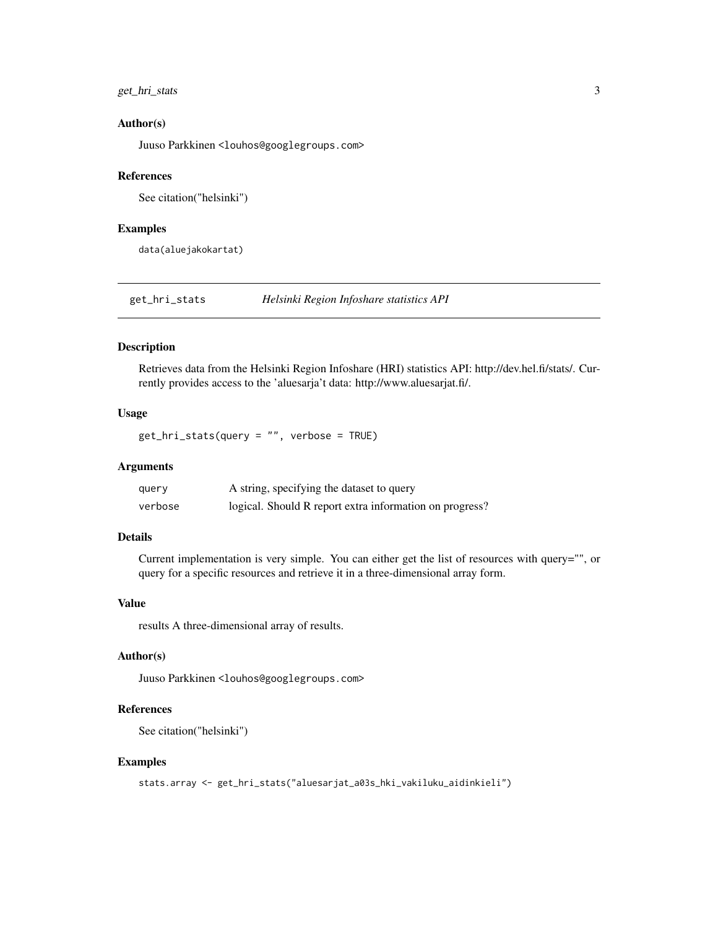# <span id="page-2-0"></span>get\_hri\_stats 3

#### Author(s)

Juuso Parkkinen <louhos@googlegroups.com>

#### References

See citation("helsinki")

#### Examples

data(aluejakokartat)

get\_hri\_stats *Helsinki Region Infoshare statistics API*

#### Description

Retrieves data from the Helsinki Region Infoshare (HRI) statistics API: http://dev.hel.fi/stats/. Currently provides access to the 'aluesarja't data: http://www.aluesarjat.fi/.

# Usage

get\_hri\_stats(query = "", verbose = TRUE)

#### Arguments

| query   | A string, specifying the dataset to query               |
|---------|---------------------------------------------------------|
| verbose | logical. Should R report extra information on progress? |

# Details

Current implementation is very simple. You can either get the list of resources with query="", or query for a specific resources and retrieve it in a three-dimensional array form.

#### Value

results A three-dimensional array of results.

#### Author(s)

Juuso Parkkinen <louhos@googlegroups.com>

#### References

See citation("helsinki")

#### Examples

```
stats.array <- get_hri_stats("aluesarjat_a03s_hki_vakiluku_aidinkieli")
```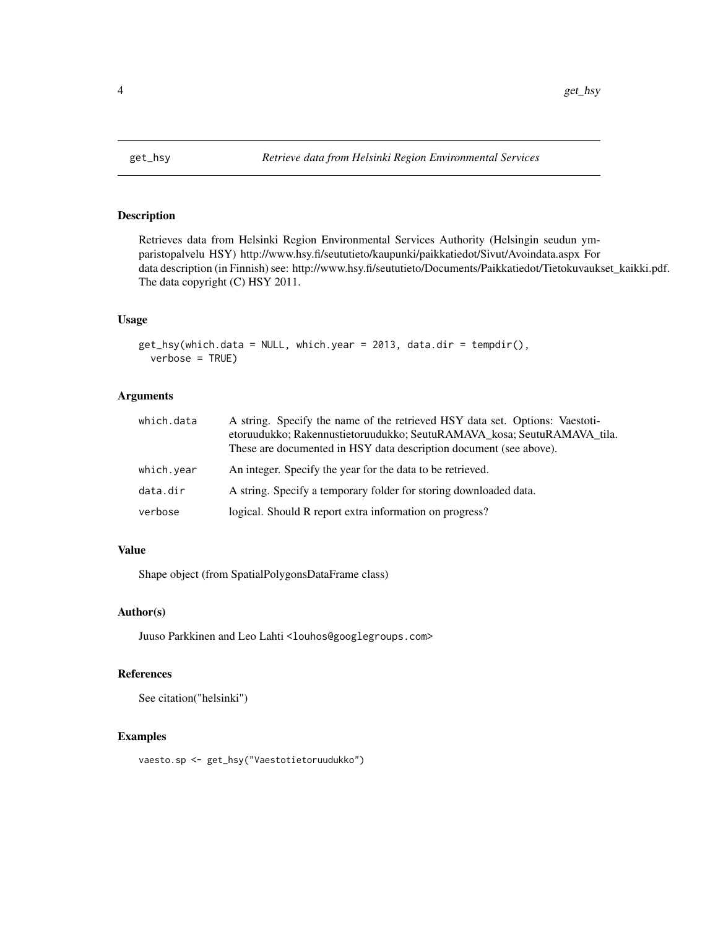<span id="page-3-0"></span>

# Description

Retrieves data from Helsinki Region Environmental Services Authority (Helsingin seudun ymparistopalvelu HSY) http://www.hsy.fi/seututieto/kaupunki/paikkatiedot/Sivut/Avoindata.aspx For data description (in Finnish) see: http://www.hsy.fi/seututieto/Documents/Paikkatiedot/Tietokuvaukset\_kaikki.pdf. The data copyright (C) HSY 2011.

#### Usage

```
get_hsy(which.data = NULL, which.year = 2013, data.dir = tempdir(),
verbose = TRUE)
```
#### Arguments

| which.data | A string. Specify the name of the retrieved HSY data set. Options: Vaestoti-<br>etoruudukko; Rakennustietoruudukko; SeutuRAMAVA kosa; SeutuRAMAVA tila.<br>These are documented in HSY data description document (see above). |
|------------|-------------------------------------------------------------------------------------------------------------------------------------------------------------------------------------------------------------------------------|
| which.year | An integer. Specify the year for the data to be retrieved.                                                                                                                                                                    |
| data.dir   | A string. Specify a temporary folder for storing downloaded data.                                                                                                                                                             |
| verbose    | logical. Should R report extra information on progress?                                                                                                                                                                       |

#### Value

Shape object (from SpatialPolygonsDataFrame class)

#### Author(s)

Juuso Parkkinen and Leo Lahti <louhos@googlegroups.com>

#### References

See citation("helsinki")

# Examples

vaesto.sp <- get\_hsy("Vaestotietoruudukko")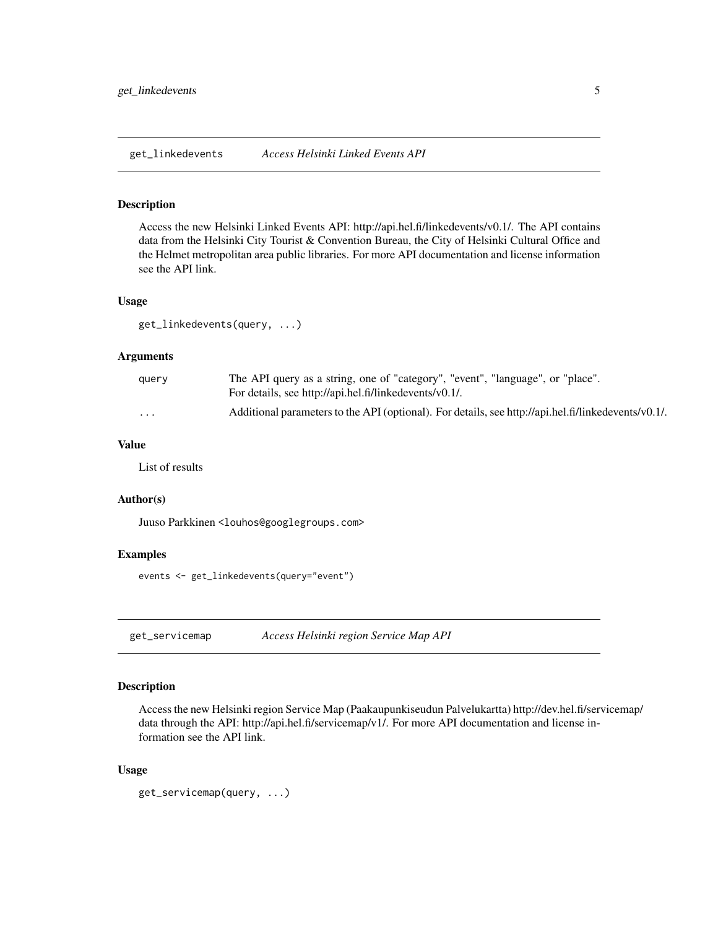<span id="page-4-0"></span>get\_linkedevents *Access Helsinki Linked Events API*

#### Description

Access the new Helsinki Linked Events API: http://api.hel.fi/linkedevents/v0.1/. The API contains data from the Helsinki City Tourist & Convention Bureau, the City of Helsinki Cultural Office and the Helmet metropolitan area public libraries. For more API documentation and license information see the API link.

#### Usage

get\_linkedevents(query, ...)

#### Arguments

| query | The API query as a string, one of "category", "event", "language", or "place".<br>For details, see http://api.hel.fi/linkedevents/v0.1/. |
|-------|------------------------------------------------------------------------------------------------------------------------------------------|
| .     | Additional parameters to the API (optional). For details, see http://api.hel.fi/linkedevents/v0.1/.                                      |

# Value

List of results

# Author(s)

Juuso Parkkinen <louhos@googlegroups.com>

### Examples

events <- get\_linkedevents(query="event")

get\_servicemap *Access Helsinki region Service Map API*

#### Description

Access the new Helsinki region Service Map (Paakaupunkiseudun Palvelukartta) http://dev.hel.fi/servicemap/ data through the API: http://api.hel.fi/servicemap/v1/. For more API documentation and license information see the API link.

#### Usage

```
get_servicemap(query, ...)
```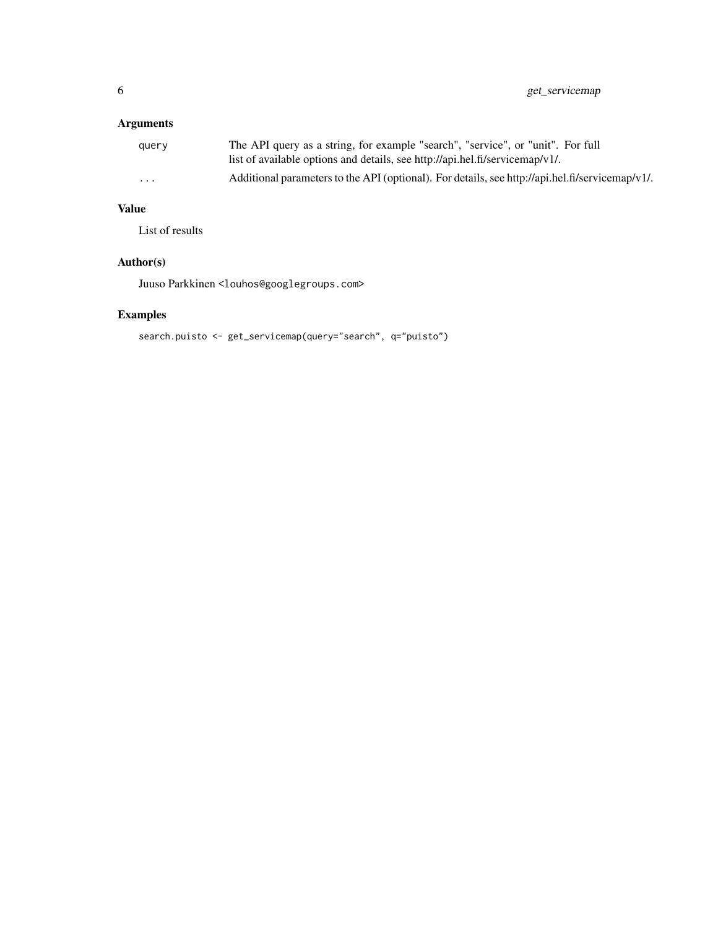6 get\_servicemap

# Arguments

| query    | The API query as a string, for example "search", "service", or "unit". For full                 |
|----------|-------------------------------------------------------------------------------------------------|
|          | list of available options and details, see http://api.hel.fi/servicemap/v1/.                    |
| $\cdots$ | Additional parameters to the API (optional). For details, see http://api.hel.fi/servicemap/v1/. |

# Value

List of results

# Author(s)

Juuso Parkkinen <louhos@googlegroups.com>

# Examples

search.puisto <- get\_servicemap(query="search", q="puisto")